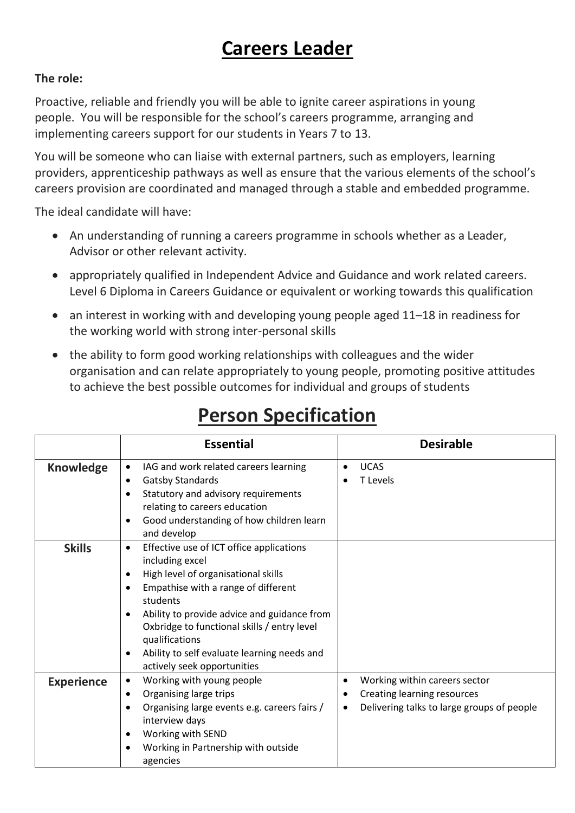## **Careers Leader**

## **The role:**

Proactive, reliable and friendly you will be able to ignite career aspirations in young people. You will be responsible for the school's careers programme, arranging and implementing careers support for our students in Years 7 to 13.

You will be someone who can liaise with external partners, such as employers, learning providers, apprenticeship pathways as well as ensure that the various elements of the school's careers provision are coordinated and managed through a stable and embedded programme.

The ideal candidate will have:

- An understanding of running a careers programme in schools whether as a Leader, Advisor or other relevant activity.
- appropriately qualified in Independent Advice and Guidance and work related careers. Level 6 Diploma in Careers Guidance or equivalent or working towards this qualification
- an interest in working with and developing young people aged 11–18 in readiness for the working world with strong inter-personal skills
- the ability to form good working relationships with colleagues and the wider organisation and can relate appropriately to young people, promoting positive attitudes to achieve the best possible outcomes for individual and groups of students

|                   | <b>Essential</b>                                                                                                                                                                                                                                                                                                                                                                                                     | <b>Desirable</b>                                                                                                                          |
|-------------------|----------------------------------------------------------------------------------------------------------------------------------------------------------------------------------------------------------------------------------------------------------------------------------------------------------------------------------------------------------------------------------------------------------------------|-------------------------------------------------------------------------------------------------------------------------------------------|
| <b>Knowledge</b>  | IAG and work related careers learning<br><b>Gatsby Standards</b><br>٠<br>Statutory and advisory requirements<br>$\bullet$<br>relating to careers education<br>Good understanding of how children learn<br>$\bullet$<br>and develop                                                                                                                                                                                   | <b>UCAS</b><br>$\bullet$<br><b>T</b> Levels                                                                                               |
| <b>Skills</b>     | Effective use of ICT office applications<br>$\bullet$<br>including excel<br>High level of organisational skills<br>$\bullet$<br>Empathise with a range of different<br>$\bullet$<br>students<br>Ability to provide advice and guidance from<br>$\bullet$<br>Oxbridge to functional skills / entry level<br>qualifications<br>Ability to self evaluate learning needs and<br>$\bullet$<br>actively seek opportunities |                                                                                                                                           |
| <b>Experience</b> | Working with young people<br>٠<br>Organising large trips<br>٠<br>Organising large events e.g. careers fairs /<br>$\bullet$<br>interview days<br>Working with SEND<br>$\bullet$<br>Working in Partnership with outside<br>٠<br>agencies                                                                                                                                                                               | Working within careers sector<br>$\bullet$<br>Creating learning resources<br>٠<br>Delivering talks to large groups of people<br>$\bullet$ |

## **Person Specification**